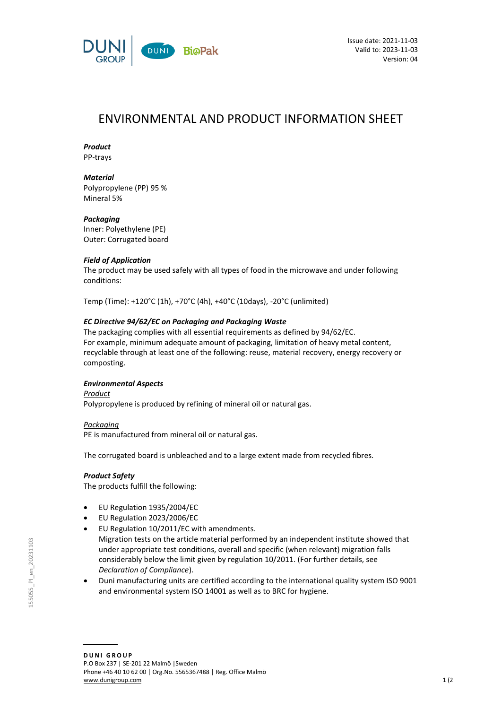

# ENVIRONMENTAL AND PRODUCT INFORMATION SHEET

# *Product*

PP-trays

# *Material*

Polypropylene (PP) 95 % Mineral 5%

## *Packaging*

Inner: Polyethylene (PE) Outer: Corrugated board

## *Field of Application*

The product may be used safely with all types of food in the microwave and under following conditions:

Temp (Time): +120°C (1h), +70°C (4h), +40°C (10days), -20°C (unlimited)

# *EC Directive 94/62/EC on Packaging and Packaging Waste*

The packaging complies with all essential requirements as defined by 94/62/EC. For example, minimum adequate amount of packaging, limitation of heavy metal content, recyclable through at least one of the following: reuse, material recovery, energy recovery or composting.

## *Environmental Aspects*

*Product* Polypropylene is produced by refining of mineral oil or natural gas.

## *Packaging*

PE is manufactured from mineral oil or natural gas.

The corrugated board is unbleached and to a large extent made from recycled fibres.

## *Product Safety*

The products fulfill the following:

- EU Regulation 1935/2004/EC
- EU Regulation 2023/2006/EC
- EU Regulation 10/2011/EC with amendments. Migration tests on the article material performed by an independent institute showed that under appropriate test conditions, overall and specific (when relevant) migration falls considerably below the limit given by regulation 10/2011. (For further details, see *Declaration of Compliance*).
- Duni manufacturing units are certified according to the international quality system ISO 9001 and environmental system ISO 14001 as well as to BRC for hygiene.